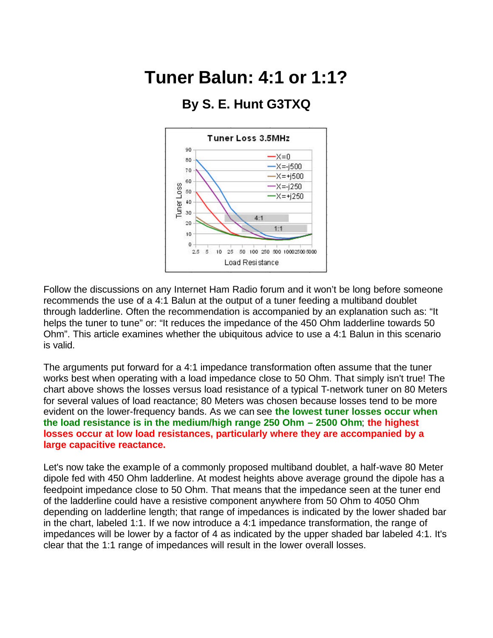## **Tuner Balun: 4:1 or 1:1?**

## Tuner Loss 3.5MHz 90  $-x=0$ 80  $-X = -1500$ 70  $-X = +1500$ 60  $-X = -1250$ Tuner Loss 50  $-X = +j250$ 40 30  $4:1$ 20  $1:1$ 10  $\alpha$  $25.5$ 10 25 50 100 250 500 10002500 5000 Load Resistance

## **By S. E. Hunt G3TXQ**

Follow the discussions on any Internet Ham Radio forum and it won't be long before someone recommends the use of a 4:1 Balun at the output of a tuner feeding a multiband doublet through ladderline. Often the recommendation is accompanied by an explanation such as: "It helps the tuner to tune" or: "It reduces the impedance of the 450 Ohm ladderline towards 50 Ohm". This article examines whether the ubiquitous advice to use a 4:1 Balun in this scenario is valid.

The arguments put forward for a 4:1 impedance transformation often assume that the tuner works best when operating with a load impedance close to 50 Ohm. That simply isn't true! The chart above shows the losses versus load resistance of a typical T-network tuner on 80 Meters for several values of load reactance; 80 Meters was chosen because losses tend to be more evident on the lower-frequency bands. As we can see **the lowest tuner losses occur when the load resistance is in the medium/high range 250 Ohm – 2500 Ohm**; **the highest losses occur at low load resistances, particularly where they are accompanied by a large capacitive reactance.**

Let's now take the example of a commonly proposed multiband doublet, a half-wave 80 Meter dipole fed with 450 Ohm ladderline. At modest heights above average ground the dipole has a feedpoint impedance close to 50 Ohm. That means that the impedance seen at the tuner end of the ladderline could have a resistive component anywhere from 50 Ohm to 4050 Ohm depending on ladderline length; that range of impedances is indicated by the lower shaded bar in the chart, labeled 1:1. If we now introduce a 4:1 impedance transformation, the range of impedances will be lower by a factor of 4 as indicated by the upper shaded bar labeled 4:1. It's clear that the 1:1 range of impedances will result in the lower overall losses.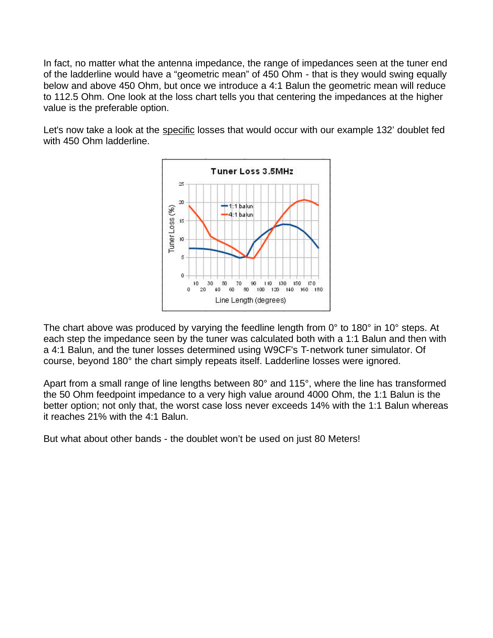In fact, no matter what the antenna impedance, the range of impedances seen at the tuner end of the ladderline would have a "geometric mean" of 450 Ohm - that is they would swing equally below and above 450 Ohm, but once we introduce a 4:1 Balun the geometric mean will reduce to 112.5 Ohm. One look at the loss chart tells you that centering the impedances at the higher value is the preferable option.

Let's now take a look at the specific losses that would occur with our example 132' doublet fed with 450 Ohm ladderline.



The chart above was produced by varying the feedline length from 0° to 180° in 10° steps. At each step the impedance seen by the tuner was calculated both with a 1:1 Balun and then with a 4:1 Balun, and the tuner losses determined using W9CF's T-network tuner simulator. Of course, beyond 180° the chart simply repeats itself. Ladderline losses were ignored.

Apart from a small range of line lengths between 80° and 115°, where the line has transformed the 50 Ohm feedpoint impedance to a very high value around 4000 Ohm, the 1:1 Balun is the better option; not only that, the worst case loss never exceeds 14% with the 1:1 Balun whereas it reaches 21% with the 4:1 Balun.

But what about other bands - the doublet won't be used on just 80 Meters!